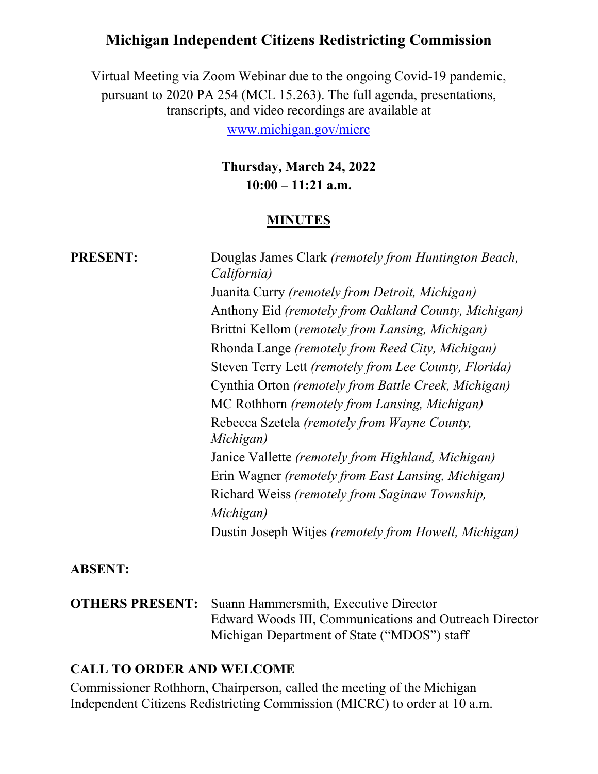# **Michigan Independent Citizens Redistricting Commission**

Virtual Meeting via Zoom Webinar due to the ongoing Covid-19 pandemic, pursuant to 2020 PA 254 (MCL 15.263). The full agenda, presentations, transcripts, and video recordings are available at

[www.michigan.gov/micrc](http://www.michigan.gov/micrc)

**Thursday, March 24, 2022 10:00 – 11:21 a.m.**

#### **MINUTES**

| <b>PRESENT:</b> | Douglas James Clark (remotely from Huntington Beach,<br>California) |
|-----------------|---------------------------------------------------------------------|
|                 | Juanita Curry (remotely from Detroit, Michigan)                     |
|                 | Anthony Eid (remotely from Oakland County, Michigan)                |
|                 | Brittni Kellom (remotely from Lansing, Michigan)                    |
|                 | Rhonda Lange (remotely from Reed City, Michigan)                    |
|                 | Steven Terry Lett (remotely from Lee County, Florida)               |
|                 | Cynthia Orton (remotely from Battle Creek, Michigan)                |
|                 | MC Rothhorn (remotely from Lansing, Michigan)                       |
|                 | Rebecca Szetela (remotely from Wayne County,<br>Michigan)           |
|                 | Janice Vallette (remotely from Highland, Michigan)                  |
|                 | Erin Wagner (remotely from East Lansing, Michigan)                  |
|                 | Richard Weiss (remotely from Saginaw Township,                      |
|                 | Michigan)                                                           |
|                 | Dustin Joseph Witjes (remotely from Howell, Michigan)               |

#### **ABSENT:**

**OTHERS PRESENT:** Suann Hammersmith, Executive Director Edward Woods III, Communications and Outreach Director Michigan Department of State ("MDOS") staff

#### **CALL TO ORDER AND WELCOME**

Commissioner Rothhorn, Chairperson, called the meeting of the Michigan Independent Citizens Redistricting Commission (MICRC) to order at 10 a.m.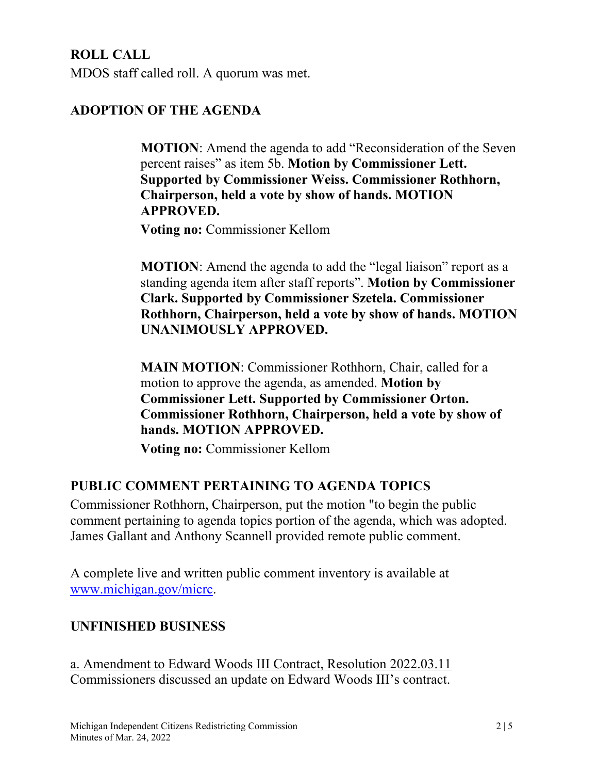**ROLL CALL** MDOS staff called roll. A quorum was met.

## **ADOPTION OF THE AGENDA**

**MOTION**: Amend the agenda to add "Reconsideration of the Seven percent raises" as item 5b. **Motion by Commissioner Lett. Supported by Commissioner Weiss. Commissioner Rothhorn, Chairperson, held a vote by show of hands. MOTION APPROVED.** 

**Voting no:** Commissioner Kellom

**MOTION:** Amend the agenda to add the "legal liaison" report as a standing agenda item after staff reports". **Motion by Commissioner Clark. Supported by Commissioner Szetela. Commissioner Rothhorn, Chairperson, held a vote by show of hands. MOTION UNANIMOUSLY APPROVED.** 

**MAIN MOTION**: Commissioner Rothhorn, Chair, called for a motion to approve the agenda, as amended. **Motion by Commissioner Lett. Supported by Commissioner Orton. Commissioner Rothhorn, Chairperson, held a vote by show of hands. MOTION APPROVED.**

**Voting no:** Commissioner Kellom

## **PUBLIC COMMENT PERTAINING TO AGENDA TOPICS**

Commissioner Rothhorn, Chairperson, put the motion "to begin the public comment pertaining to agenda topics portion of the agenda, which was adopted. James Gallant and Anthony Scannell provided remote public comment.

A complete live and written public comment inventory is available at [www.michigan.gov/micrc.](http://www.michigan.gov/micrc)

## **UNFINISHED BUSINESS**

a. Amendment to Edward Woods III Contract, Resolution 2022.03.11 Commissioners discussed an update on Edward Woods III's contract.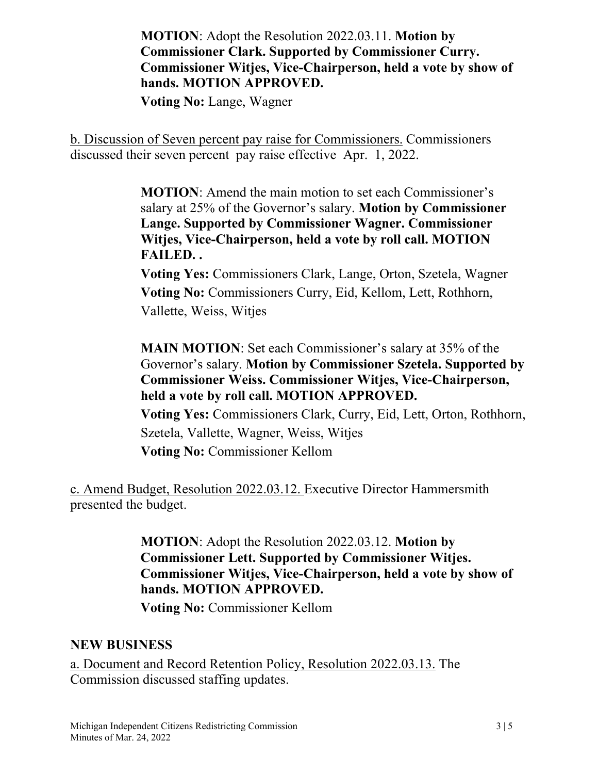**MOTION**: Adopt the Resolution 2022.03.11. **Motion by Commissioner Clark. Supported by Commissioner Curry. Commissioner Witjes, Vice-Chairperson, held a vote by show of hands. MOTION APPROVED.**

**Voting No:** Lange, Wagner

b. Discussion of Seven percent pay raise for Commissioners. Commissioners discussed their seven percent pay raise effective Apr. 1, 2022.

> **MOTION**: Amend the main motion to set each Commissioner's salary at 25% of the Governor's salary. **Motion by Commissioner Lange. Supported by Commissioner Wagner. Commissioner Witjes, Vice-Chairperson, held a vote by roll call. MOTION FAILED. .**

> **Voting Yes:** Commissioners Clark, Lange, Orton, Szetela, Wagner **Voting No:** Commissioners Curry, Eid, Kellom, Lett, Rothhorn, Vallette, Weiss, Witjes

**MAIN MOTION**: Set each Commissioner's salary at 35% of the Governor's salary. **Motion by Commissioner Szetela. Supported by Commissioner Weiss. Commissioner Witjes, Vice-Chairperson, held a vote by roll call. MOTION APPROVED.**

 **Voting Yes:** Commissioners Clark, Curry, Eid, Lett, Orton, Rothhorn, Szetela, Vallette, Wagner, Weiss, Witjes **Voting No:** Commissioner Kellom

c. Amend Budget, Resolution 2022.03.12. Executive Director Hammersmith presented the budget.

> **MOTION**: Adopt the Resolution 2022.03.12. **Motion by Commissioner Lett. Supported by Commissioner Witjes. Commissioner Witjes, Vice-Chairperson, held a vote by show of hands. MOTION APPROVED.**

**Voting No:** Commissioner Kellom

### **NEW BUSINESS**

a. Document and Record Retention Policy, Resolution 2022.03.13. The Commission discussed staffing updates.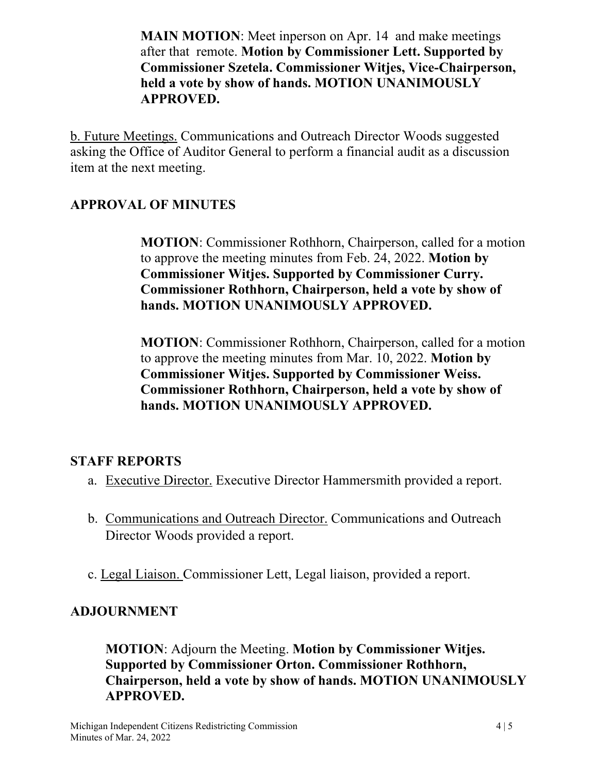**MAIN MOTION:** Meet inperson on Apr. 14 and make meetings after that remote. **Motion by Commissioner Lett. Supported by Commissioner Szetela. Commissioner Witjes, Vice-Chairperson, held a vote by show of hands. MOTION UNANIMOUSLY APPROVED.**

b. Future Meetings. Communications and Outreach Director Woods suggested asking the Office of Auditor General to perform a financial audit as a discussion item at the next meeting.

## **APPROVAL OF MINUTES**

**MOTION**: Commissioner Rothhorn, Chairperson, called for a motion to approve the meeting minutes from Feb. 24, 2022. **Motion by Commissioner Witjes. Supported by Commissioner Curry. Commissioner Rothhorn, Chairperson, held a vote by show of hands. MOTION UNANIMOUSLY APPROVED.**

**MOTION**: Commissioner Rothhorn, Chairperson, called for a motion to approve the meeting minutes from Mar. 10, 2022. **Motion by Commissioner Witjes. Supported by Commissioner Weiss. Commissioner Rothhorn, Chairperson, held a vote by show of hands. MOTION UNANIMOUSLY APPROVED.**

### **STAFF REPORTS**

- a. Executive Director. Executive Director Hammersmith provided a report.
- b. Communications and Outreach Director. Communications and Outreach Director Woods provided a report.
- c. Legal Liaison. Commissioner Lett, Legal liaison, provided a report.

### **ADJOURNMENT**

**MOTION**: Adjourn the Meeting. **Motion by Commissioner Witjes. Supported by Commissioner Orton. Commissioner Rothhorn, Chairperson, held a vote by show of hands. MOTION UNANIMOUSLY APPROVED.**